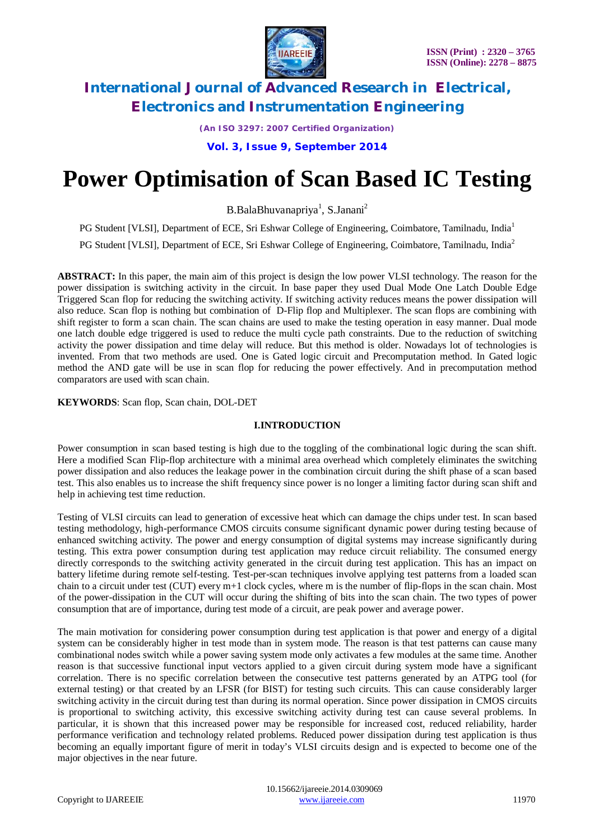

*(An ISO 3297: 2007 Certified Organization)*

**Vol. 3, Issue 9, September 2014**

# **Power Optimisation of Scan Based IC Testing**

B.BalaBhuvanapriya<sup>1</sup>, S.Janani<sup>2</sup>

PG Student [VLSI], Department of ECE, Sri Eshwar College of Engineering, Coimbatore, Tamilnadu, India<sup>1</sup>

PG Student [VLSI], Department of ECE, Sri Eshwar College of Engineering, Coimbatore, Tamilnadu, India<sup>2</sup>

**ABSTRACT:** In this paper, the main aim of this project is design the low power VLSI technology. The reason for the power dissipation is switching activity in the circuit. In base paper they used Dual Mode One Latch Double Edge Triggered Scan flop for reducing the switching activity. If switching activity reduces means the power dissipation will also reduce. Scan flop is nothing but combination of D-Flip flop and Multiplexer. The scan flops are combining with shift register to form a scan chain. The scan chains are used to make the testing operation in easy manner. Dual mode one latch double edge triggered is used to reduce the multi cycle path constraints. Due to the reduction of switching activity the power dissipation and time delay will reduce. But this method is older. Nowadays lot of technologies is invented. From that two methods are used. One is Gated logic circuit and Precomputation method. In Gated logic method the AND gate will be use in scan flop for reducing the power effectively. And in precomputation method comparators are used with scan chain.

**KEYWORDS**: Scan flop, Scan chain, DOL-DET

#### **I.INTRODUCTION**

Power consumption in scan based testing is high due to the toggling of the combinational logic during the scan shift. Here a modified Scan Flip-flop architecture with a minimal area overhead which completely eliminates the switching power dissipation and also reduces the leakage power in the combination circuit during the shift phase of a scan based test. This also enables us to increase the shift frequency since power is no longer a limiting factor during scan shift and help in achieving test time reduction.

Testing of VLSI circuits can lead to generation of excessive heat which can damage the chips under test. In scan based testing methodology, high-performance CMOS circuits consume significant dynamic power during testing because of enhanced switching activity. The power and energy consumption of digital systems may increase significantly during testing. This extra power consumption during test application may reduce circuit reliability. The consumed energy directly corresponds to the switching activity generated in the circuit during test application. This has an impact on battery lifetime during remote self-testing. Test-per-scan techniques involve applying test patterns from a loaded scan chain to a circuit under test (CUT) every m+1 clock cycles, where m is the number of flip-flops in the scan chain. Most of the power-dissipation in the CUT will occur during the shifting of bits into the scan chain. The two types of power consumption that are of importance, during test mode of a circuit, are peak power and average power.

The main motivation for considering power consumption during test application is that power and energy of a digital system can be considerably higher in test mode than in system mode. The reason is that test patterns can cause many combinational nodes switch while a power saving system mode only activates a few modules at the same time. Another reason is that successive functional input vectors applied to a given circuit during system mode have a significant correlation. There is no specific correlation between the consecutive test patterns generated by an ATPG tool (for external testing) or that created by an LFSR (for BIST) for testing such circuits. This can cause considerably larger switching activity in the circuit during test than during its normal operation. Since power dissipation in CMOS circuits is proportional to switching activity, this excessive switching activity during test can cause several problems. In particular, it is shown that this increased power may be responsible for increased cost, reduced reliability, harder performance verification and technology related problems. Reduced power dissipation during test application is thus becoming an equally important figure of merit in today's VLSI circuits design and is expected to become one of the major objectives in the near future.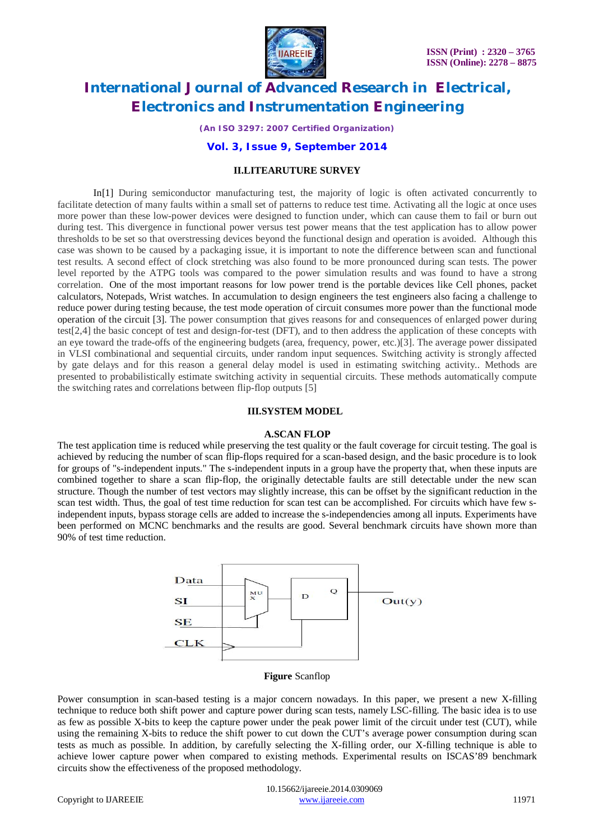

*(An ISO 3297: 2007 Certified Organization)*

**Vol. 3, Issue 9, September 2014**

#### **II.LITEARUTURE SURVEY**

In[1] During semiconductor manufacturing test, the majority of logic is often activated concurrently to facilitate detection of many faults within a small set of patterns to reduce test time. Activating all the logic at once uses more power than these low-power devices were designed to function under, which can cause them to fail or burn out during test. This divergence in functional power versus test power means that the test application has to allow power thresholds to be set so that overstressing devices beyond the functional design and operation is avoided. Although this case was shown to be caused by a packaging issue, it is important to note the difference between scan and functional test results. A second effect of clock stretching was also found to be more pronounced during scan tests. The power level reported by the ATPG tools was compared to the power simulation results and was found to have a strong correlation. One of the most important reasons for low power trend is the portable devices like Cell phones, packet calculators, Notepads, Wrist watches. In accumulation to design engineers the test engineers also facing a challenge to reduce power during testing because, the test mode operation of circuit consumes more power than the functional mode operation of the circuit [3]. The power consumption that gives reasons for and consequences of enlarged power during test[2,4] the basic concept of test and design-for-test (DFT), and to then address the application of these concepts with an eye toward the trade-offs of the engineering budgets (area, frequency, power, etc.)[3]. The average power dissipated in VLSI combinational and sequential circuits, under random input sequences. Switching activity is strongly affected by gate delays and for this reason a general delay model is used in estimating switching activity.. Methods are presented to probabilistically estimate switching activity in sequential circuits. These methods automatically compute the switching rates and correlations between flip-flop outputs [5]

#### **III.SYSTEM MODEL**

#### **A.SCAN FLOP**

The test application time is reduced while preserving the test quality or the fault coverage for circuit testing. The goal is achieved by reducing the number of scan flip-flops required for a scan-based design, and the basic procedure is to look for groups of "s-independent inputs." The s-independent inputs in a group have the property that, when these inputs are combined together to share a scan flip-flop, the originally detectable faults are still detectable under the new scan structure. Though the number of test vectors may slightly increase, this can be offset by the significant reduction in the scan test width. Thus, the goal of test time reduction for scan test can be accomplished. For circuits which have few sindependent inputs, bypass storage cells are added to increase the s-independencies among all inputs. Experiments have been performed on MCNC benchmarks and the results are good. Several benchmark circuits have shown more than 90% of test time reduction.



**Figure** Scanflop

Power consumption in scan-based testing is a major concern nowadays. In this paper, we present a new X-filling technique to reduce both shift power and capture power during scan tests, namely LSC-filling. The basic idea is to use as few as possible X-bits to keep the capture power under the peak power limit of the circuit under test (CUT), while using the remaining X-bits to reduce the shift power to cut down the CUT's average power consumption during scan tests as much as possible. In addition, by carefully selecting the X-filling order, our X-filling technique is able to achieve lower capture power when compared to existing methods. Experimental results on ISCAS'89 benchmark circuits show the effectiveness of the proposed methodology.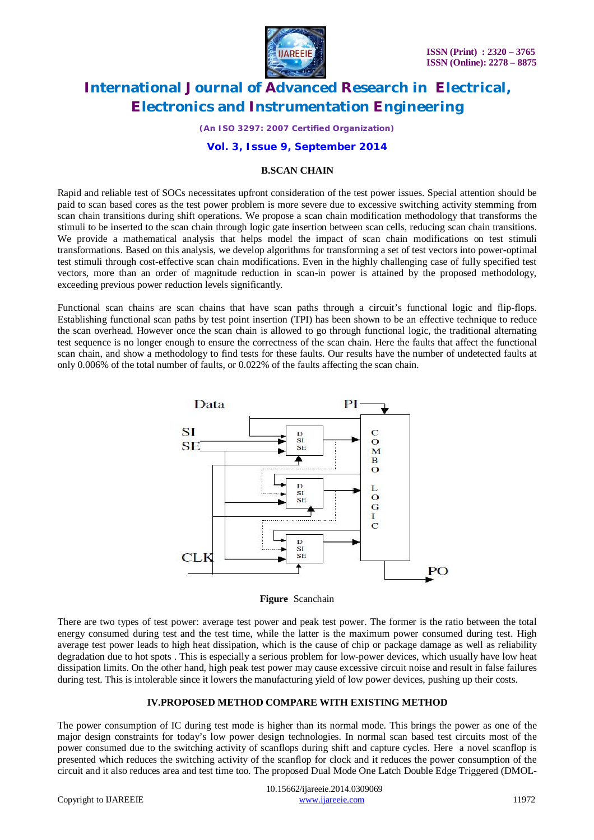

*(An ISO 3297: 2007 Certified Organization)*

#### **Vol. 3, Issue 9, September 2014**

#### **B.SCAN CHAIN**

Rapid and reliable test of SOCs necessitates upfront consideration of the test power issues. Special attention should be paid to scan based cores as the test power problem is more severe due to excessive switching activity stemming from scan chain transitions during shift operations. We propose a scan chain modification methodology that transforms the stimuli to be inserted to the scan chain through logic gate insertion between scan cells, reducing scan chain transitions. We provide a mathematical analysis that helps model the impact of scan chain modifications on test stimuli transformations. Based on this analysis, we develop algorithms for transforming a set of test vectors into power-optimal test stimuli through cost-effective scan chain modifications. Even in the highly challenging case of fully specified test vectors, more than an order of magnitude reduction in scan-in power is attained by the proposed methodology, exceeding previous power reduction levels significantly.

Functional scan chains are scan chains that have scan paths through a circuit's functional logic and flip-flops. Establishing functional scan paths by test point insertion (TPI) has been shown to be an effective technique to reduce the scan overhead. However once the scan chain is allowed to go through functional logic, the traditional alternating test sequence is no longer enough to ensure the correctness of the scan chain. Here the faults that affect the functional scan chain, and show a methodology to find tests for these faults. Our results have the number of undetected faults at only 0.006% of the total number of faults, or 0.022% of the faults affecting the scan chain*.*



**Figure** Scanchain

There are two types of test power: average test power and peak test power. The former is the ratio between the total energy consumed during test and the test time, while the latter is the maximum power consumed during test. High average test power leads to high heat dissipation, which is the cause of chip or package damage as well as reliability degradation due to hot spots . This is especially a serious problem for low-power devices, which usually have low heat dissipation limits. On the other hand, high peak test power may cause excessive circuit noise and result in false failures during test. This is intolerable since it lowers the manufacturing yield of low power devices, pushing up their costs.

#### **IV.PROPOSED METHOD COMPARE WITH EXISTING METHOD**

The power consumption of IC during test mode is higher than its normal mode. This brings the power as one of the major design constraints for today's low power design technologies. In normal scan based test circuits most of the power consumed due to the switching activity of scanflops during shift and capture cycles. Here a novel scanflop is presented which reduces the switching activity of the scanflop for clock and it reduces the power consumption of the circuit and it also reduces area and test time too. The proposed Dual Mode One Latch Double Edge Triggered (DMOL-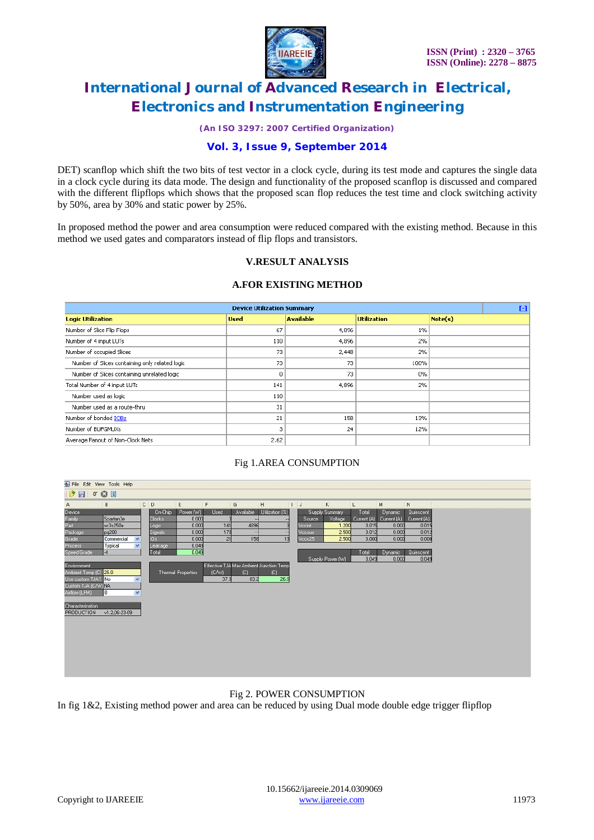

*(An ISO 3297: 2007 Certified Organization)*

### **Vol. 3, Issue 9, September 2014**

DET) scanflop which shift the two bits of test vector in a clock cycle, during its test mode and captures the single data in a clock cycle during its data mode. The design and functionality of the proposed scanflop is discussed and compared with the different flipflops which shows that the proposed scan flop reduces the test time and clock switching activity by 50%, area by 30% and static power by 25%.

In proposed method the power and area consumption were reduced compared with the existing method. Because in this method we used gates and comparators instead of flip flops and transistors.

### **V.RESULT ANALYSIS**

#### **A.FOR EXISTING METHOD**

| <b>Device Utilization Summary</b>              |             |                  |                    |         |  |  |  |  |  |
|------------------------------------------------|-------------|------------------|--------------------|---------|--|--|--|--|--|
| <b>Logic Utilization</b>                       | <b>Used</b> | <b>Available</b> | <b>Utilization</b> | Note(s) |  |  |  |  |  |
| Number of Slice Flip Flops                     | 67          | 4,896            | 1%                 |         |  |  |  |  |  |
| Number of 4 input LUTs                         | 110         | 4,896            | 2%                 |         |  |  |  |  |  |
| Number of occupied Slices                      | 73          | 2,448            | 2%                 |         |  |  |  |  |  |
| Number of Slices containing only related logic | 73          | 73               | 100%               |         |  |  |  |  |  |
| Number of Slices containing unrelated logic    | 0           | 73               | 0%                 |         |  |  |  |  |  |
| Total Number of 4 input LUTs                   | 141         | 4,896            | 2%                 |         |  |  |  |  |  |
| Number used as logic                           | 110         |                  |                    |         |  |  |  |  |  |
| Number used as a route-thru                    | 31          |                  |                    |         |  |  |  |  |  |
| Number of bonded IOBs                          | 21          | 158              | 13%                |         |  |  |  |  |  |
| Number of BUFGMUXs                             | З           | 24               | 12%                |         |  |  |  |  |  |
| Average Fanout of Non-Clock Nets               | 2.62        |                  |                    |         |  |  |  |  |  |

#### Fig 1.AREA CONSUMPTION



### Fig 2. POWER CONSUMPTION

In fig 1&2, Existing method power and area can be reduced by using Dual mode double edge trigger flipflop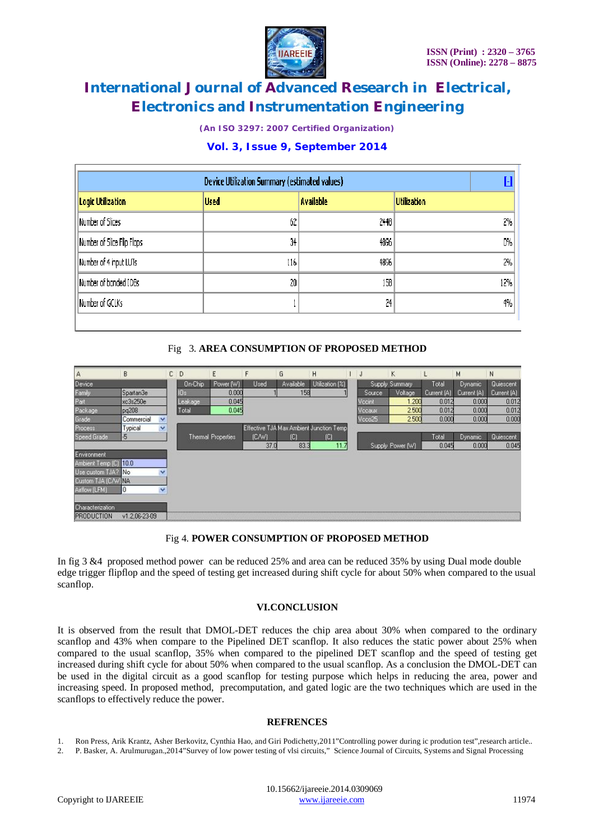

*(An ISO 3297: 2007 Certified Organization)*

### **Vol. 3, Issue 9, September 2014**

| <b>Device Utilization Summary (estimated values)</b> |             |                  |                    |  |  |  |  |  |
|------------------------------------------------------|-------------|------------------|--------------------|--|--|--|--|--|
| <b>Logic Utilization</b>                             | <b>Used</b> | <b>Available</b> | <b>Utilization</b> |  |  |  |  |  |
| Number of Slices                                     | 62          | 2448             | 2%                 |  |  |  |  |  |
| Number of Slice Flip Flops                           | 34          | 4896             | 0%                 |  |  |  |  |  |
| Number of 4 input LUTs                               | 116         | 4896             | 2%                 |  |  |  |  |  |
| Number of bonded IOBs                                | 20          | 158              | 12%                |  |  |  |  |  |
| Number of GCLKs                                      |             | 24               | 4%                 |  |  |  |  |  |
|                                                      |             |                  |                    |  |  |  |  |  |

### Fig 3. **AREA CONSUMPTION OF PROPOSED METHOD**

| A                     | B             | c.           | D       | Ε                         |       | G                           | Η                                       | IJ     | κ                |             | м           | N           |
|-----------------------|---------------|--------------|---------|---------------------------|-------|-----------------------------|-----------------------------------------|--------|------------------|-------------|-------------|-------------|
| Device                |               |              | On Chip | Power (W)                 | Used  | Available                   | Utilization [%]                         |        | Supply Summary   | Total       | Dynamic     | Quiescent   |
| Family                | Spartan3e     |              |         | 0.000                     |       | 158                         |                                         | Source | Voltage          | Current (A) | Current (A) | Current [A] |
| Pat                   | xc3s250e      |              | Leakage | 0.045                     |       |                             |                                         | Vccinl | 1.200            | 0.012       | 0.000       | 0.012       |
| Package               | pq208         |              | Total   | 0.045                     |       |                             |                                         | Vccaux | 2.500            | 0.012       | 0.000       | 0.012       |
| Grade                 | Commercial    | $\checkmark$ |         |                           |       |                             |                                         | Vcco25 | 2.500            | 0.000       | 0.000       | 0.000       |
| Process               | Typical       | v            |         |                           |       |                             | Effective TJA Max Ambient Junction Temp |        |                  |             |             |             |
| Speed Grade           | -5            |              |         | <b>Thermal Properties</b> | (CAV) | $\left[ \mathbb{C} \right]$ | TO.                                     |        |                  | Total       | Dynamic     | Quiescent   |
|                       |               |              |         |                           | 37.0  | 83.3                        | 11.                                     |        | Supply Power [W] | 0.045       | 0.000       | 0.045       |
| Environment           |               |              |         |                           |       |                             |                                         |        |                  |             |             |             |
| Ambient Temp [C] 10.0 |               |              |         |                           |       |                             |                                         |        |                  |             |             |             |
| Use custom TJA? No    |               |              |         |                           |       |                             |                                         |        |                  |             |             |             |
| Custom TJA (CAV) NA   |               |              |         |                           |       |                             |                                         |        |                  |             |             |             |
| Arllow [LFM]          | 0             |              |         |                           |       |                             |                                         |        |                  |             |             |             |
| Characterization      |               |              |         |                           |       |                             |                                         |        |                  |             |             |             |
| PRODUCTION            | v1.2.06-23-09 |              |         |                           |       |                             |                                         |        |                  |             |             |             |

### Fig 4. **POWER CONSUMPTION OF PROPOSED METHOD**

In fig 3 &4 proposed method power can be reduced 25% and area can be reduced 35% by using Dual mode double edge trigger flipflop and the speed of testing get increased during shift cycle for about 50% when compared to the usual scanflop.

#### **VI.CONCLUSION**

It is observed from the result that DMOL-DET reduces the chip area about 30% when compared to the ordinary scanflop and 43% when compare to the Pipelined DET scanflop. It also reduces the static power about 25% when compared to the usual scanflop, 35% when compared to the pipelined DET scanflop and the speed of testing get increased during shift cycle for about 50% when compared to the usual scanflop. As a conclusion the DMOL-DET can be used in the digital circuit as a good scanflop for testing purpose which helps in reducing the area, power and increasing speed. In proposed method, precomputation, and gated logic are the two techniques which are used in the scanflops to effectively reduce the power.

#### **REFRENCES**

1. Ron Press, Arik Krantz, Asher Berkovitz, Cynthia Hao, and Giri Podichetty,2011"Controlling power during ic prodution test",research article.. 2. P. Basker, A. Arulmurugan.,2014"Survey of low power testing of vlsi circuits," Science Journal of Circuits, Systems and Signal Processing